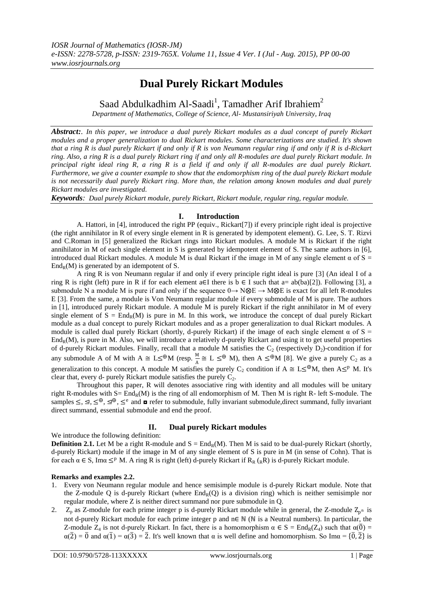# **Dual Purely Rickart Modules**

Saad Abdulkadhim Al-Saadi<sup>1</sup>, Tamadher Arif Ibrahiem<sup>2</sup>

*Department of Mathematics, College of Science, Al- Mustansiriyah University, Iraq*

*Abstract:. In this paper, we introduce a dual purely Rickart modules as a dual concept of purely Rickart modules and a proper generalization to dual Rickart modules. Some characterizations are studied. It's shown that a ring R is dual purely Rickart if and only if R is von Neumann regular ring if and only if R is d-Rickart ring. Also, a ring R is a dual purely Rickart ring if and only all R-modules are dual purely Rickart module. In principal right ideal ring R, a ring R is a field if and only if all R-modules are dual purely Rickart. Furthermore, we give a counter example to show that the endomorphism ring of the dual purely Rickart module is not necessarily dual purely Rickart ring. More than, the relation among known modules and dual purely Rickart modules are investigated.* 

*Keywords: Dual purely Rickart module, purely Rickart, Rickart module, regular ring, regular module.*

## **I. Introduction**

A. Hattori, in [4], introduced the right PP (equiv., Rickart[7]) if every principle right ideal is projective (the right annihilator in R of every single element in R is generated by idempotent element). G. Lee, S. T. Rizvi and C.Roman in [5] generalized the Rickart rings into Rickart modules. A module M is Rickart if the right annihilator in M of each single element in S is generated by idempotent element of S. The same authors in [6], introduced dual Rickart modules. A module M is dual Rickart if the image in M of any single element  $\alpha$  of S =  $\text{End}_{R}(M)$  is generated by an idempotent of S.

A ring R is von Neumann regular if and only if every principle right ideal is pure [3] (An ideal I of a ring R is right (left) pure in R if for each element a∈I there is  $b \in I$  such that a= ab(ba)[2]). Following [3], a submodule N a module M is pure if and only if the sequence  $0 \rightarrow N \otimes E \rightarrow M \otimes E$  is exact for all left R-modules E [3]. From the same, a module is Von Neumann regular module if every submodule of M is pure. The authors in [1], introduced purely Rickart module. A module M is purely Rickart if the right annihilator in M of every single element of  $S = End_R(M)$  is pure in M. In this work, we introduce the concept of dual purely Rickart module as a dual concept to purely Rickart modules and as a proper generalization to dual Rickart modules. A module is called dual purely Rickart (shortly, d-purely Rickart) if the image of each single element  $\alpha$  of S =  $\text{End}_{R}(M)$ , is pure in M. Also, we will introduce a relatively d-purely Rickart and using it to get useful properties of d-purely Rickart modules. Finally, recall that a module M satisfies the  $C_2$  (respectively  $D_2$ )-condition if for any submodule A of M with  $A \cong L \leq^{\oplus} M$  (resp.  $\frac{M}{A} \cong L \leq^{\oplus} M$ ), then  $A \leq^{\oplus} M$  [8]. We give a purely  $C_2$  as a generalization to this concept. A module M satisfies the purely C<sub>2</sub> condition if  $A \cong L \leq^{\oplus} M$ , then  $A \leq^p M$ . It's clear that, every d- purely Rickart module satisfies the purely  $C_2$ .

Throughout this paper, R will denotes associative ring with identity and all modules will be unitary right R-modules with  $S = End_R(M)$  is the ring of all endomorphism of M. Then M is right R- left S-module. The samples  $\leq, \leq, \leq^{\oplus}, \leq^{\oplus}, \leq^e$  and  $\blacksquare$  refer to submodule, fully invariant submodule, direct summand, fully invariant direct summand, essential submodule and end the proof.

## **II. Dual purely Rickart modules**

### We introduce the following definition:

**Definition 2.1.** Let M be a right R-module and  $S = End_R(M)$ . Then M is said to be dual-purely Rickart (shortly, d-purely Rickart) module if the image in M of any single element of S is pure in M (in sense of Cohn). That is for each  $\alpha \in S$ , Imα  $\leq^p M$ . A ring R is right (left) d-purely Rickart if R<sub>R</sub> (<sub>R</sub>R) is d-purely Rickart module.

## **Remarks and examples 2.2.**

- 1. Every von Neumann regular module and hence semisimple module is d-purely Rickart module. Note that the Z-module Q is d-purely Rickart (where  $\text{End}_R(Q)$  is a division ring) which is neither semisimple nor regular module, where Z is neither direct summand nor pure submodule in Q.
- 2.  $Z_p$  as Z-module for each prime integer p is d-purely Rickart module while in general, the Z-module  $Z_{p^n}$  is not d-purely Rickart module for each prime integer p and n∈ ℕ (ℕ is a Neutral numbers). In particular, the Z-module  $Z_4$  is not d-purely Rickart. In fact, there is a homomorphism  $\alpha \in S = \text{End}_R(Z_4)$  such that  $\alpha(\overline{0}) =$  $\alpha(\overline{2}) = \overline{0}$  and  $\alpha(\overline{1}) = \alpha(\overline{3}) = \overline{2}$ . It's well known that  $\alpha$  is well define and homomorphism. So Im $\alpha = {\overline{0}, \overline{2}}$  is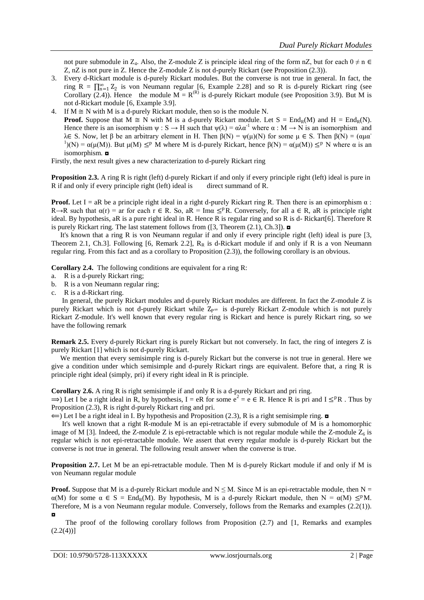not pure submodule in Z<sub>4</sub>. Also, the Z-module Z is principle ideal ring of the form nZ, but for each  $0 \neq n \in$ Z, nZ is not pure in Z. Hence the Z-module Z is not d-purely Rickart (see Proposition (2.3)).

- 3. Every d-Rickart module is d-purely Rickart modules. But the converse is not true in general. In fact, the ring  $R = \prod_{n=1}^{\infty} Z_2$  is von Neumann regular [6, Example 2.28] and so R is d-purely Rickart ring (see Corollary (2.4)). Hence the module  $M = R^{(R)}$  is d-purely Rickart module (see Proposition 3.9). But M is not d-Rickart module [6, Example 3.9].
- 4. If  $M \cong N$  with M is a d-purely Rickart module, then so is the module N. **Proof.** Suppose that  $M \cong N$  with M is a d-purely Rickart module. Let  $S = \text{End}_R(M)$  and  $H = \text{End}_R(N)$ . Hence there is an isomorphism  $\psi$  : S  $\rightarrow$  H such that  $\psi(\lambda) = \alpha \lambda \alpha^{-1}$  where  $\alpha$  : M  $\rightarrow$  N is an isomorphism and λ∈ S. Now, let β be an arbitrary element in H. Then  $β(N) = ψ(μ)(N)$  for some  $μ ∈ S$ . Then  $β(N) = (αμα^{-1})$ <sup>1</sup>)(N) =  $\alpha(\mu(M))$ . But  $\mu(M) \leq^p M$  where M is d-purely Rickart, hence  $\beta(N) = \alpha(\mu(M)) \leq^p N$  where  $\alpha$  is an isomorphism. ◘

Firstly, the next result gives a new characterization to d-purely Rickart ring

**Proposition 2.3.** A ring R is right (left) d-purely Rickart if and only if every principle right (left) ideal is pure in R if and only if every principle right (left) ideal is direct summand of R.

**Proof.** Let I = aR be a principle right ideal in a right d-purely Rickart ring R. Then there is an epimorphism  $\alpha$ : R→R such that  $\alpha(r)$  = ar for each  $r \in R$ . So,  $aR = Im\alpha \leq^p R$ . Conversely, for all  $a \in R$ , aR is principle right ideal. By hypothesis, aR is a pure right ideal in R. Hence R is regular ring and so R is d- Rickart[6]. Therefore R is purely Rickart ring. The last statement follows from  $(3,$  Theorem  $(2.1)$ , Ch.3]).  $\blacksquare$ 

 It's known that a ring R is von Neumann regular if and only if every principle right (left) ideal is pure [3, Theorem 2.1, Ch.3]. Following [6, Remark 2.2],  $R_R$  is d-Rickart module if and only if R is a von Neumann regular ring. From this fact and as a corollary to Proposition (2.3)), the following corollary is an obvious.

**Corollary 2.4.** The following conditions are equivalent for a ring R:

- a. R is a d-purely Rickart ring;
- b. R is a von Neumann regular ring;
- c. R is a d-Rickart ring.

 In general, the purely Rickart modules and d-purely Rickart modules are different. In fact the Z-module Z is purely Rickart which is not d-purely Rickart while  $Z_{p^{\infty}}$  is d-purely Rickart Z-module which is not purely Rickart Z-module. It's well known that every regular ring is Rickart and hence is purely Rickart ring, so we have the following remark

**Remark 2.5.** Every d-purely Rickart ring is purely Rickart but not conversely. In fact, the ring of integers Z is purely Rickart [1] which is not d-purely Rickart.

 We mention that every semisimple ring is d-purely Rickart but the converse is not true in general. Here we give a condition under which semisimple and d-purely Rickart rings are equivalent. Before that, a ring R is principle right ideal (simply, pri) if every right ideal in R is principle.

**Corollary 2.6.** A ring R is right semisimple if and only R is a d-purely Rickart and pri ring.

 $\Rightarrow$ ) Let I be a right ideal in R, by hypothesis, I = eR for some  $e^2 = e \in R$ . Hence R is pri and I  $\leq^p R$ . Thus by Proposition (2.3), R is right d-purely Rickart ring and pri.

 $\Leftarrow$ ) Let I be a right ideal in I. By hypothesis and Proposition (2.3), R is a right semisimple ring.  $\Box$ 

 It's well known that a right R-module M is an epi-retractable if every submodule of M is a homomorphic image of M [3]. Indeed, the Z-module Z is epi-retractable which is not regular module while the Z-module  $Z_6$  is regular which is not epi-retractable module. We assert that every regular module is d-purely Rickart but the converse is not true in general. The following result answer when the converse is true.

**Proposition 2.7.** Let M be an epi-retractable module. Then M is d-purely Rickart module if and only if M is von Neumann regular module

**Proof.** Suppose that M is a d-purely Rickart module and  $N \leq M$ . Since M is an epi-retractable module, then  $N =$  $\alpha(M)$  for some  $\alpha \in S = \text{End}_R(M)$ . By hypothesis, M is a d-purely Rickart module, then  $N = \alpha(M) \leq^p M$ . Therefore, M is a von Neumann regular module. Conversely, follows from the Remarks and examples (2.2(1)). ◘

 The proof of the following corollary follows from Proposition (2.7) and [1, Remarks and examples  $(2.2(4))$ ]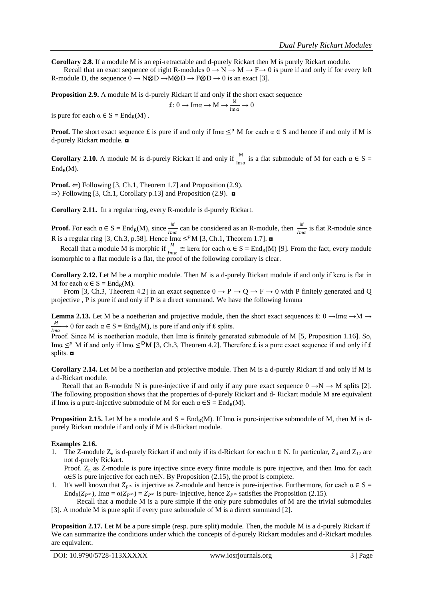**Corollary 2.8.** If a module M is an epi-retractable and d-purely Rickart then M is purely Rickart module.

Recall that an exact sequence of right R-modules  $0 \to N \to M \to F \to 0$  is pure if and only if for every left R-module D, the sequence  $0 \rightarrow N \otimes D \rightarrow M \otimes D \rightarrow F \otimes D \rightarrow 0$  is an exact [3].

**Proposition 2.9.** A module M is d-purely Rickart if and only if the short exact sequence

$$
f: 0 \to \text{Im}\alpha \to M \to \frac{M}{\text{Im}\,\alpha} \to 0
$$

is pure for each  $\alpha \in S = \text{End}_{R}(M)$ .

**Proof.** The short exact sequence  $\pm$  is pure if and only if Im $\alpha \leq^p M$  for each  $\alpha \in S$  and hence if and only if M is d-purely Rickart module. ◘

**Corollary 2.10.** A module M is d-purely Rickart if and only if  $\frac{M}{\text{Im }\alpha}$  is a flat submodule of M for each  $\alpha \in S$  =  $\text{End}_{R}(M)$ .

**Proof.**  $\Leftarrow$ ) Following [3, Ch.1, Theorem 1.7] and Proposition (2.9).  $\Rightarrow$ ) Following [3, Ch.1, Corollary p.13] and Proposition (2.9).  $\Box$ 

**Corollary 2.11.** In a regular ring, every R-module is d-purely Rickart.

**Proof.** For each  $\alpha \in S = \text{End}_R(M)$ , since  $\frac{M}{Im\alpha}$  can be considered as an R-module, then  $\frac{M}{Im\alpha}$  is flat R-module since R is a regular ring [3, Ch.3, p.58]. Hence Ima  $\leq^p M$  [3, Ch.1, Theorem 1.7].

Recall that a module M is morphic if  $\frac{M}{Im\alpha} \cong \text{ker}\alpha$  for each  $\alpha \in S = \text{End}_R(M)$  [9]. From the fact, every module isomorphic to a flat module is a flat, the proof of the following corollary is clear.

**Corollary 2.12.** Let M be a morphic module. Then M is a d-purely Rickart module if and only if kerα is flat in M for each  $\alpha \in S = \text{End}_{R}(M)$ .

From [3, Ch.3, Theorem 4.2] in an exact sequence  $0 \to P \to Q \to F \to 0$  with P finitely generated and Q projective , P is pure if and only if P is a direct summand. We have the following lemma

**Lemma 2.13.** Let M be a noetherian and projective module, then the short exact sequences  $\pm$ : 0  $\rightarrow$ Ima  $\rightarrow$ M  $\rightarrow$ M  $\frac{m}{\ell m \alpha}$  → 0 for each  $\alpha \in S = \text{End}_R(M)$ , is pure if and only if £ splits.

Proof. Since M is noetherian module, then Imα is finitely generated submodule of M [5, Proposition 1.16]. So, Ima  $\leq^p$  M if and only if Ima  $\leq^{\oplus}$ M [3, Ch.3, Theorem 4.2]. Therefore £ is a pure exact sequence if and only if £ splits. ◘

**Corollary 2.14.** Let M be a noetherian and projective module. Then M is a d-purely Rickart if and only if M is a d-Rickart module.

Recall that an R-module N is pure-injective if and only if any pure exact sequence  $0 \rightarrow N \rightarrow M$  splits [2]. The following proposition shows that the properties of d-purely Rickart and d- Rickart module M are equivalent if Ima is a pure-injective submodule of M for each  $\alpha \in S = \text{End}_{R}(M)$ .

**Proposition 2.15.** Let M be a module and  $S = \text{End}_R(M)$ . If Ima is pure-injective submodule of M, then M is dpurely Rickart module if and only if M is d-Rickart module.

### **Examples 2.16.**

1. The Z-module  $Z_p$  is d-purely Rickart if and only if its d-Rickart for each n ∈ N. In particular,  $Z_4$  and  $Z_{12}$  are not d-purely Rickart.

Proof.  $Z_n$  as Z-module is pure injective since every finite module is pure injective, and then Im $\alpha$  for each  $\alpha \in S$  is pure injective for each n∈N. By Proposition (2.15), the proof is complete.

1. It's well known that  $Z_{p^{\infty}}$  is injective as Z-module and hence is pure-injective. Furthermore, for each  $\alpha \in S =$  $\text{End}_{R}(Z_{P^{\infty}}), \text{Im}\alpha = \alpha(Z_{P^{\infty}}) = Z_{P^{\infty}}$  is pure-injective, hence  $Z_{P^{\infty}}$  satisfies the Proposition (2.15).

Recall that a module M is a pure simple if the only pure submodules of M are the trivial submodules [3]. A module M is pure split if every pure submodule of M is a direct summand [2].

**Proposition 2.17.** Let M be a pure simple (resp. pure split) module. Then, the module M is a d-purely Rickart if We can summarize the conditions under which the concepts of d-purely Rickart modules and d-Rickart modules are equivalent.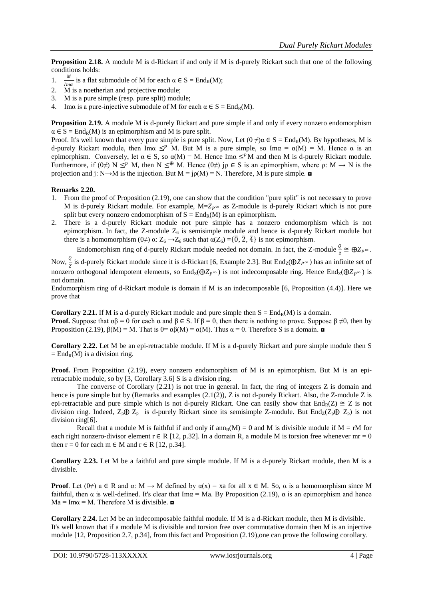**Proposition 2.18.** A module M is d-Rickart if and only if M is d-purely Rickart such that one of the following conditions holds:

- 1.  $\frac{M}{Im\alpha}$  is a flat submodule of M for each  $\alpha \in S = \text{End}_{R}(M);$
- 2. M is a noetherian and projective module;
- 3. M is a pure simple (resp. pure split) module;
- 4. Ima is a pure-injective submodule of M for each  $\alpha \in S = \text{End}_{R}(M)$ .

**Proposition 2.19.** A module M is d-purely Rickart and pure simple if and only if every nonzero endomorphism  $\alpha \in S = \text{End}_{R}(M)$  is an epimorphism and M is pure split.

Proof. It's well known that every pure simple is pure split. Now, Let  $(0 \neq) \alpha \in S = \text{End}_R(M)$ . By hypotheses, M is d-purely Rickart module, then Ima  $\leq^p M$ . But M is a pure simple, so Ima =  $\alpha(M) = M$ . Hence  $\alpha$  is an epimorphism. Conversely, let  $\alpha \in S$ , so  $\alpha(M) = M$ . Hence Im $\alpha \leq^p M$  and then M is d-purely Rickart module. Furthermore, if  $(0\neq)$  N  $\leq^p$  M, then N  $\leq^{\oplus}$  M. Hence  $(0\neq)$  jp  $\in$  S is an epimorphism, where  $\rho$ : M  $\rightarrow$  N is the projection and j: N→M is the injection. But  $M = j\rho(M) = N$ . Therefore, M is pure simple.  $\Box$ 

#### **Remarks 2.20.**

- 1. From the proof of Proposition (2.19), one can show that the condition "pure split" is not necessary to prove M is d-purely Rickart module. For example,  $M = Z_{p^{\infty}}$  as Z-module is d-purely Rickart which is not pure split but every nonzero endomorphism of  $S = End_R(M)$  is an epimorphism.
- 2. There is a d-purely Rickart module not pure simple has a nonzero endomorphism which is not epimorphism. In fact, the Z-module  $Z_6$  is semisimple module and hence is d-purely Rickart module but there is a homomorphism (0≠)  $\alpha$ :  $Z_6 \rightarrow Z_6$  such that  $\alpha(Z_6) = {\overline{0}, \overline{2}, \overline{4}}$  is not epimorphism.

Endomorphism ring of d-purely Rickart module needed not domain. In fact, the Z-module  $\frac{0}{z} \cong \bigoplus Z_{P^{\infty}}$ .

Now,  $\frac{0}{z}$  is d-purely Rickart module since it is d-Rickart [6, Example 2.3]. But End<sub>Z</sub>( $\oplus Z_{P^{\infty}}$ ) has an infinite set of nonzero orthogonal idempotent elements, so  $\text{End}_{\mathbb{Z}}(\bigoplus Z_{P^\infty})$  is not indecomposable ring. Hence  $\text{End}_{\mathbb{Z}}(\bigoplus Z_{P^\infty})$  is not domain.

Endomorphism ring of d-Rickart module is domain if M is an indecomposable [6, Proposition (4.4)]. Here we prove that

**Corollary 2.21.** If M is a d-purely Rickart module and pure simple then  $S = End_R(M)$  is a domain. **Proof.** Suppose that  $\alpha\beta = 0$  for each  $\alpha$  and  $\beta \in S$ . If  $\beta = 0$ , then there is nothing to prove. Suppose  $\beta \neq 0$ , then by Proposition (2.19),  $\beta(M) = M$ . That is  $0 = \alpha \beta(M) = \alpha(M)$ . Thus  $\alpha = 0$ . Therefore S is a domain.  $\alpha$ 

**Corollary 2.22.** Let M be an epi-retractable module. If M is a d-purely Rickart and pure simple module then S  $=$  End<sub>R</sub>(M) is a division ring.

**Proof.** From Proposition (2.19), every nonzero endomorphism of M is an epimorphism. But M is an epiretractable module, so by [3, Corollary 3.6] S is a division ring.

The converse of Corollary (2.21) is not true in general. In fact, the ring of integers Z is domain and hence is pure simple but by (Remarks and examples (2.1(2)), Z is not d-purely Rickart. Also, the Z-module Z is epi-retractable and pure simple which is not d-purely Rickart. One can easily show that  $End_R(Z) \cong Z$  is not division ring. Indeed,  $Z_p \oplus Z_p$  is d-purely Rickart since its semisimple Z-module. But End<sub>Z</sub>( $Z_p \oplus Z_p$ ) is not division ring[6].

Recall that a module M is faithful if and only if  $ann_R(M) = 0$  and M is divisible module if  $M = rM$  for each right nonzero-divisor element  $r \in R$  [12, p.32]. In a domain R, a module M is torsion free whenever mr = 0 then  $r = 0$  for each  $m \in M$  and  $r \in R$  [12, p.34].

**Corollary 2.23.** Let M be a faithful and pure simple module. If M is a d-purely Rickart module, then M is a divisible.

**Proof**. Let  $(0\neq)$  a  $\in$  R and  $\alpha$ : M  $\rightarrow$  M defined by  $\alpha(x) = x$  a for all  $x \in M$ . So,  $\alpha$  is a homomorphism since M faithful, then  $\alpha$  is well-defined. It's clear that Im $\alpha$  = Ma. By Proposition (2.19),  $\alpha$  is an epimorphism and hence  $Ma = Im\alpha = M$ . Therefore M is divisible.  $\Box$ 

**Corollary 2.24.** Let M be an indecomposable faithful module. If M is a d-Rickart module, then M is divisible. It's well known that if a module M is divisible and torsion free over commutative domain then M is an injective module [12, Proposition 2.7, p.34], from this fact and Proposition (2.19),one can prove the following corollary.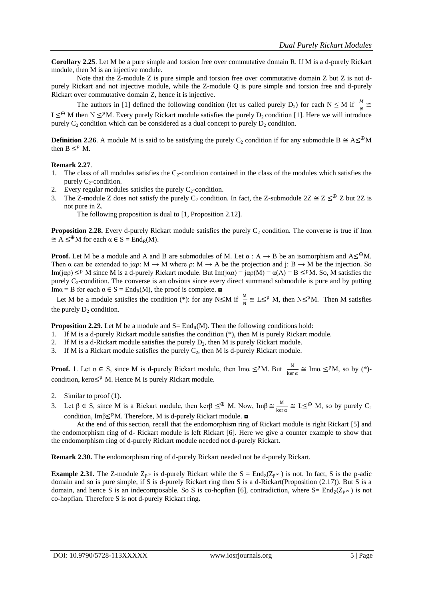**Corollary 2.25**. Let M be a pure simple and torsion free over commutative domain R. If M is a d-purely Rickart module, then M is an injective module.

Note that the Z-module Z is pure simple and torsion free over commutative domain Z but Z is not dpurely Rickart and not injective module, while the Z-module Q is pure simple and torsion free and d-purely Rickart over commutative domain Z, hence it is injective.

The authors in [1] defined the following condition (let us called purely D<sub>2</sub>) for each N  $\leq$  M if  $\frac{M}{N} \cong$ L≤<sup>⊕</sup> M then N ≤<sup>*p*</sup>M. Every purely Rickart module satisfies the purely D<sub>2</sub> condition [1]. Here we will introduce purely  $C_2$  condition which can be considered as a dual concept to purely  $D_2$  condition.

**Definition 2.26**. A module M is said to be satisfying the purely C<sub>2</sub> condition if for any submodule B  $\cong$  A≤<sup>⊕</sup>M then  $B \leq^p M$ .

### **Remark 2.27**.

- 1. The class of all modules satisfies the  $C_2$ -condition contained in the class of the modules which satisfies the purely  $C_2$ -condition.
- 2. Every regular modules satisfies the purely  $C_2$ -condition.
- 3. The Z-module Z does not satisfy the purely C<sub>2</sub> condition. In fact, the Z-submodule  $2Z \cong Z \leq^{\oplus} Z$  but 2Z is not pure in Z.

The following proposition is dual to [1, Proposition 2.12].

**Proposition 2.28.** Every d-purely Rickart module satisfies the purely  $C_2$  condition. The converse is true if Ima  $\cong A \leq^{\oplus} M$  for each  $\alpha \in S = \text{End}_{R}(M)$ .

**Proof.** Let M be a module and A and B are submodules of M. Let  $\alpha : A \to B$  be an isomorphism and  $A \leq^{\oplus} M$ . Then  $\alpha$  can be extended to j $\alpha$  $\beta$ : M  $\rightarrow$  M where  $\rho$ : M  $\rightarrow$  A be the projection and j: B  $\rightarrow$  M be the injection. So Im(j $\alpha$ )  $\leq^p$  M since M is a d-purely Rickart module. But Im(j $\alpha$ a) = j $\alpha$  $(\alpha)$  =  $\alpha$ (A) = B  $\leq^p$ M. So, M satisfies the purely  $C_2$ -condition. The converse is an obvious since every direct summand submodule is pure and by putting Im $\alpha$  = B for each  $\alpha \in S = \text{End}_R(M)$ , the proof is complete.  $\Box$ 

Let M be a module satisfies the condition (\*): for any N≤M if  $\frac{M}{N} \cong L \leq^p M$ , then N≤PM. Then M satisfies the purely  $D_2$  condition.

**Proposition 2.29.** Let M be a module and  $S = \text{End}_R(M)$ . Then the following conditions hold:

1. If M is a d-purely Rickart module satisfies the condition (\*), then M is purely Rickart module.

- 2. If M is a d-Rickart module satisfies the purely  $D_2$ , then M is purely Rickart module.
- 3. If M is a Rickart module satisfies the purely  $C_2$ , then M is d-purely Rickart module.

**Proof.** 1. Let  $\alpha \in S$ , since M is d-purely Rickart module, then Im $\alpha \leq^p M$ . But  $\frac{M}{\ker \alpha} \cong \text{Im}\alpha \leq^p M$ , so by (\*)condition, ker $\alpha$ <<sup>p</sup> M. Hence M is purely Rickart module.

- 2. Similar to proof (1).
- 3. Let  $\beta \in S$ , since M is a Rickart module, then ker $\beta \leq^{\oplus} M$ . Now, Im $\beta \cong \frac{M}{\log n}$  $\frac{M}{\ker \alpha} \cong L \leq^{\bigoplus} M$ , so by purely  $C_2$ condition, Im $\beta \leq^p M$ . Therefore, M is d-purely Rickart module.  $\blacksquare$

At the end of this section, recall that the endomorphism ring of Rickart module is right Rickart [5] and the endomorphism ring of d- Rickart module is left Rickart [6]. Here we give a counter example to show that the endomorphism ring of d-purely Rickart module needed not d-purely Rickart.

**Remark 2.30.** The endomorphism ring of d-purely Rickart needed not be d-purely Rickart.

**Example 2.31.** The Z-module  $Z_{p^{\infty}}$  is d-purely Rickart while the  $S = End_Z(Z_{p^{\infty}})$  is not. In fact, S is the p-adic domain and so is pure simple, if S is d-purely Rickart ring then S is a d-Rickart(Proposition (2.17)). But S is a domain, and hence S is an indecomposable. So S is co-hopfian [6], contradiction, where  $S = End_Z(Z_P \infty)$  is not co-hopfian. Therefore S is not d-purely Rickart ring**.**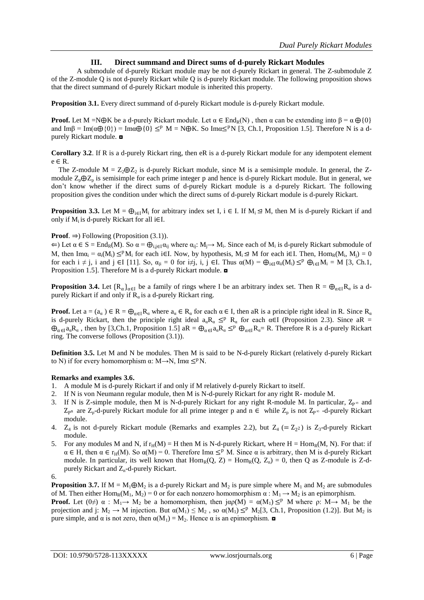## **III. Direct summand and Direct sums of d-purely Rickart Modules**

A submodule of d-purely Rickart module may be not d-purely Rickart in general. The Z-submodule Z of the Z-module Q is not d-purely Rickart while Q is d-purely Rickart module. The following proposition shows that the direct summand of d-purely Rickart module is inherited this property.

**Proposition 3.1.** Every direct summand of d-purely Rickart module is d-purely Rickart module.

**Proof.** Let M =N⊕K be a d-purely Rickart module. Let  $\alpha \in End_R(N)$ , then  $\alpha$  can be extending into  $\beta = \alpha \oplus \{0\}$ and Imβ = Im( $\alpha \oplus \{0\}$ ) = Im $\alpha \oplus \{0\} \leq^p M$  = N $\oplus K$ . So Im $\alpha \leq^p N$  [3, Ch.1, Proposition 1.5]. Therefore N is a dpurely Rickart module. ◘

**Corollary 3.2**. If R is a d-purely Rickart ring, then eR is a d-purely Rickart module for any idempotent element e ∈ R.

The Z-module  $M = Z_2 \oplus Z_2$  is d-purely Rickart module, since M is a semisimple module. In general, the Zmodule  $Z_p \oplus Z_p$  is semisimple for each prime integer p and hence is d-purely Rickart module. But in general, we don't know whether if the direct sums of d-purely Rickart module is a d-purely Rickart. The following proposition gives the condition under which the direct sums of d-purely Rickart module is d-purely Rickart.

**Proposition 3.3.** Let  $M = \bigoplus_{i \in I} M_i$  for arbitrary index set I, i ∈ I. If  $M_i \leq M$ , then M is d-purely Rickart if and only if  $M_i$  is d-purely Rickart for all i $\in$ I.

## **Proof**. ⇒) Following (Proposition (3.1)).

 $\Leftarrow$ ) Let  $\alpha \in S = End_R(M)$ . So  $\alpha = \bigoplus_{i,j \in I} \alpha_{ij}$  where  $\alpha_{ij} : M_j \to M_i$ . Since each of  $M_i$  is d-purely Rickart submodule of M, then  $\text{Im}\alpha_i = \alpha_i(M_i) \leq^p M_i$  for each i∈I. Now, by hypothesis,  $M_i \leq M$  for each i∈I. Then,  $\text{Hom}_R(M_i, M_i) = 0$ for each  $i \neq j$ , i and  $j \in I$  [11]. So,  $\alpha_{ji} = 0$  for  $i \neq j$ ,  $i, j \in I$ . Thus  $\alpha(M) = \bigoplus_{i \in I} \alpha_{ii}(M_i) \leq^p \bigoplus_{i \in I} M_i = M$  [3, Ch.1, Proposition 1.5]. Therefore M is a d-purely Rickart module. ◘

**Proposition 3.4.** Let  ${R_\alpha}_{\alpha \in I}$  be a family of rings where I be an arbitrary index set. Then  $R = \bigoplus_{\alpha \in I} R_\alpha$  is a dpurely Rickart if and only if  $R_{\alpha}$  is a d-purely Rickart ring.

**Proof.** Let  $a = (a_{\alpha}) \in R = \bigoplus_{\alpha \in R} R_{\alpha}$  where  $a_{\alpha} \in R_{\alpha}$  for each  $\alpha \in I$ , then aR is a principle right ideal in R. Since  $R_{\alpha}$ is d-purely Rickart, then the principle right ideal  $a_{\alpha}R_{\alpha} \leq^{p} R_{\alpha}$  for each  $\alpha \in I$  (Proposition 2.3). Since aR =  $\bigoplus_{\alpha\in I}a_\alpha R_\alpha$ , then by [3,Ch.1, Proposition 1.5] a $R = \bigoplus_{\alpha\in I}a_\alpha R_\alpha \leq^p \bigoplus_{\alpha\in I}R_\alpha = R$ . Therefore R is a d-purely Rickart ring. The converse follows (Proposition (3.1)).

**Definition 3.5.** Let M and N be modules. Then M is said to be N-d-purely Rickart (relatively d-purely Rickart to N) if for every homomorphism  $\alpha$ : M $\rightarrow$ N, Im $\alpha \leq^p N$ .

### **Remarks and examples 3.6.**

- 1. A module M is d-purely Rickart if and only if M relatively d-purely Rickart to itself.
- 2. If N is von Neumann regular module, then M is N-d-purely Rickart for any right R- module M.
- 3. If N is Z-simple module, then M is N-d-purely Rickart for any right R-module M. In particular,  $Z_{p^{\infty}}$  and  $Z_{p^n}$  are  $Z_p$ -d-purely Rickart module for all prime integer p and  $n \in \mathbb{R}$  while  $Z_p$  is not  $Z_{p^{\infty}}$  -d-purely Rickart module.
- 4.  $Z_4$  is not d-purely Rickart module (Remarks and examples 2.2), but  $Z_4$  (=  $Z_2$ ) is  $Z_3$ -d-purely Rickart module.
- 5. For any modules M and N, if  $r_H(M) = H$  then M is N-d-purely Rickart, where  $H = Hom_R(M, N)$ . For that: if  $\alpha \in H$ , then  $\alpha \in r_H(M)$ . So  $\alpha(M) = 0$ . Therefore Im $\alpha \leq^p M$ . Since  $\alpha$  is arbitrary, then M is d-purely Rickart module. In particular, its well known that  $Hom_R(Q, Z) = Hom_R(Q, Z_n) = 0$ , then Q as Z-module is Z-dpurely Rickart and Zn-d-purely Rickart.

**Proposition 3.7.** If  $M = M_1 \oplus M_2$  is a d-purely Rickart and  $M_2$  is pure simple where  $M_1$  and  $M_2$  are submodules of M. Then either Hom<sub>R</sub>(M<sub>1</sub>, M<sub>2</sub>) = 0 or for each nonzero homomorphism  $\alpha : M_1 \rightarrow M_2$  is an epimorphism.

**Proof.** Let  $(0\neq)$   $\alpha$  :  $M_1 \rightarrow M_2$  be a homomorphism, then  $j\alpha\rho(M) = \alpha(M_1) \leq^p M$  where  $\rho: M \rightarrow M_1$  be the projection and j:  $M_2 \rightarrow M$  injection. But  $\alpha(M_1) \leq M_2$ , so  $\alpha(M_1) \leq^p M_2[3, Ch.1]$ , Proposition (1.2)]. But  $M_2$  is pure simple, and  $\alpha$  is not zero, then  $\alpha(M_1) = M_2$ . Hence  $\alpha$  is an epimorphism.  $\blacksquare$ 

<sup>6.</sup>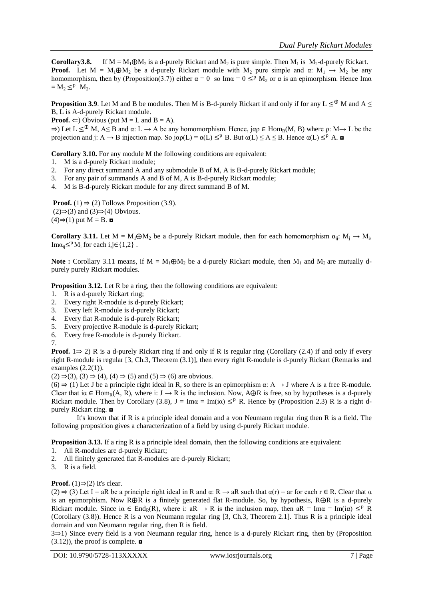**Corollary3.8.** If  $M = M_1 \oplus M_2$  is a d-purely Rickart and M<sub>2</sub> is pure simple. Then M<sub>1</sub> is M<sub>2</sub>-d-purely Rickart. **Proof.** Let  $M = M_1 \oplus M_2$  be a d-purely Rickart module with  $M_2$  pure simple and  $\alpha$ :  $M_1 \rightarrow M_2$  be any homomorphism, then by (Proposition(3.7)) either  $\alpha = 0$  so Im $\alpha = 0 \leq^p M_2$  or  $\alpha$  is an epimorphism. Hence Im $\alpha$  $=M_2 \leq^p M_2$ .

**Proposition 3.9.** Let M and B be modules. Then M is B-d-purely Rickart if and only if for any L  $\leq^{\oplus}$  M and A  $\leq$ B, L is A-d-purely Rickart module.

**Proof.**  $\Leftarrow$ ) Obvious (put  $M = L$  and  $B = A$ ).

 $\Rightarrow$ ) Let  $L \leq^{\oplus} M$ , A $\leq$  B and  $\alpha: L \to A$  be any homomorphism. Hence,  $\alpha \in \text{Hom}_{R}(M, B)$  where  $\rho: M \to L$  be the projection and j: A  $\rightarrow$  B injection map. So  $j\alpha\rho(L) = \alpha(L) \leq^p B$ . But  $\alpha(L) \leq A \leq B$ . Hence  $\alpha(L) \leq^p A$ .

**Corollary 3.10.** For any module M the following conditions are equivalent:

- 1. M is a d-purely Rickart module;
- 2. For any direct summand A and any submodule B of M, A is B-d-purely Rickart module;
- 3. For any pair of summands A and B of M, A is B-d-purely Rickart module;
- 4. M is B-d-purely Rickart module for any direct summand B of M.

**Proof.** (1)  $\Rightarrow$  (2) Follows Proposition (3.9).  $(2) \Rightarrow (3)$  and  $(3) \Rightarrow (4)$  Obvious.  $(4) \Rightarrow (1)$  put M = B. **□** 

**Corollary 3.11.** Let  $M = M_1 \oplus M_2$  be a d-purely Rickart module, then for each homomorphism  $\alpha_{ij}$ :  $M_j \to M_i$ , Im $\alpha_{ii} \leq^p M_i$  for each i,j∈{1,2}.

**Note :** Corollary 3.11 means, if  $M = M_1 \oplus M_2$  be a d-purely Rickart module, then  $M_1$  and  $M_2$  are mutually dpurely purely Rickart modules.

**Proposition 3.12.** Let R be a ring, then the following conditions are equivalent:

- 1. R is a d-purely Rickart ring;
- 2. Every right R-module is d-purely Rickart;
- 3. Every left R-module is d-purely Rickart;
- 4. Every flat R-module is d-purely Rickart;
- 5. Every projective R-module is d-purely Rickart;
- 6. Every free R-module is d-purely Rickart.
- 7.

**Proof.** 1⇒ 2) R is a d-purely Rickart ring if and only if R is regular ring (Corollary (2.4) if and only if every right R-module is regular [3, Ch.3, Theorem (3.1)], then every right R-module is d-purely Rickart (Remarks and examples  $(2.2(1))$ .

 $(2) \Rightarrow (3), (3) \Rightarrow (4), (4) \Rightarrow (5) \text{ and } (5) \Rightarrow (6) \text{ are obvious.}$ 

 $(6) \Rightarrow (1)$  Let J be a principle right ideal in R, so there is an epimorphism  $\alpha$ : A  $\rightarrow$  J where A is a free R-module. Clear that i $\alpha \in \text{Hom}_R(A, R)$ , where i:  $J \to R$  is the inclusion. Now,  $A \oplus R$  is free, so by hypotheses is a d-purely Rickart module. Then by Corollary (3.8),  $J = Im\alpha = Im(i\alpha) \leq^p R$ . Hence by (Proposition 2.3) R is a right dpurely Rickart ring. ◘

It's known that if R is a principle ideal domain and a von Neumann regular ring then R is a field. The following proposition gives a characterization of a field by using d-purely Rickart module.

**Proposition 3.13.** If a ring R is a principle ideal domain, then the following conditions are equivalent:

- 1. All R-modules are d-purely Rickart;
- 2. All finitely generated flat R-modules are d-purely Rickart;
- 3. R is a field.

## **Proof.** (1) $\Rightarrow$ (2) It's clear.

(2)  $\Rightarrow$  (3) Let I = aR be a principle right ideal in R and  $\alpha$ : R  $\rightarrow$  aR such that  $\alpha(r)$  = ar for each r  $\in$  R. Clear that  $\alpha$ is an epimorphism. Now R⨁R is a finitely generated flat R-module. So, by hypothesis, R⨁R is a d-purely Rickart module. Since i $\alpha \in \text{End}_R(R)$ , where i:  $aR \to R$  is the inclusion map, then  $aR = \text{Im}\alpha = \text{Im}(i\alpha) \leq^p R$ (Corollary (3.8)). Hence R is a von Neumann regular ring [3, Ch.3, Theorem 2.1]. Thus R is a principle ideal domain and von Neumann regular ring, then R is field.

3⇒1) Since every field is a von Neumann regular ring, hence is a d-purely Rickart ring, then by (Proposition  $(3.12)$ , the proof is complete.  $\blacksquare$